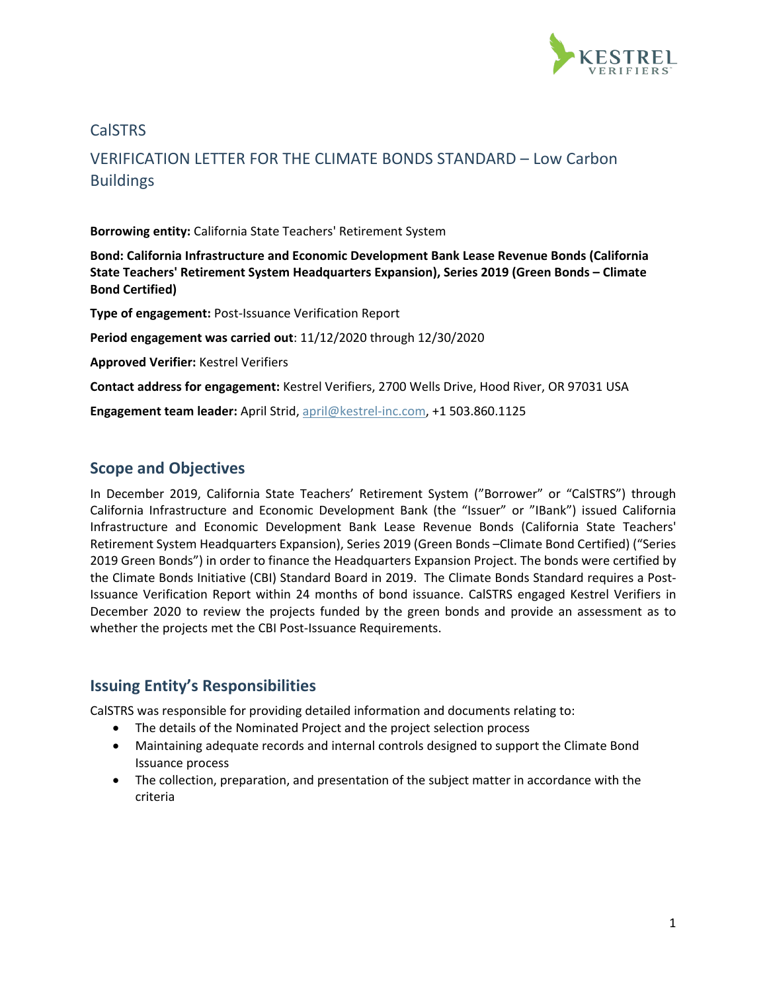

### CalSTRS

# VERIFICATION LETTER FOR THE CLIMATE BONDS STANDARD – Low Carbon Buildings

**Borrowing entity:** California State Teachers' Retirement System

**Bond: California Infrastructure and Economic Development Bank Lease Revenue Bonds (California State Teachers' Retirement System Headquarters Expansion), Series 2019 (Green Bonds – Climate Bond Certified)**

**Type of engagement:** Post-Issuance Verification Report

**Period engagement was carried out**: 11/12/2020 through 12/30/2020

**Approved Verifier:** Kestrel Verifiers

**Contact address for engagement:** Kestrel Verifiers, 2700 Wells Drive, Hood River, OR 97031 USA

**Engagement team leader:** April Strid[, april@kestrel-inc.com,](mailto:april@kestrel-inc.com) +1 503.860.1125

#### **Scope and Objectives**

In December 2019, California State Teachers' Retirement System ("Borrower" or "CalSTRS") through California Infrastructure and Economic Development Bank (the "Issuer" or "IBank") issued California Infrastructure and Economic Development Bank Lease Revenue Bonds (California State Teachers' Retirement System Headquarters Expansion), Series 2019 (Green Bonds –Climate Bond Certified) ("Series 2019 Green Bonds") in order to finance the Headquarters Expansion Project. The bonds were certified by the Climate Bonds Initiative (CBI) Standard Board in 2019. The Climate Bonds Standard requires a Post-Issuance Verification Report within 24 months of bond issuance. CalSTRS engaged Kestrel Verifiers in December 2020 to review the projects funded by the green bonds and provide an assessment as to whether the projects met the CBI Post-Issuance Requirements.

### **Issuing Entity's Responsibilities**

CalSTRS was responsible for providing detailed information and documents relating to:

- The details of the Nominated Project and the project selection process
- Maintaining adequate records and internal controls designed to support the Climate Bond Issuance process
- The collection, preparation, and presentation of the subject matter in accordance with the criteria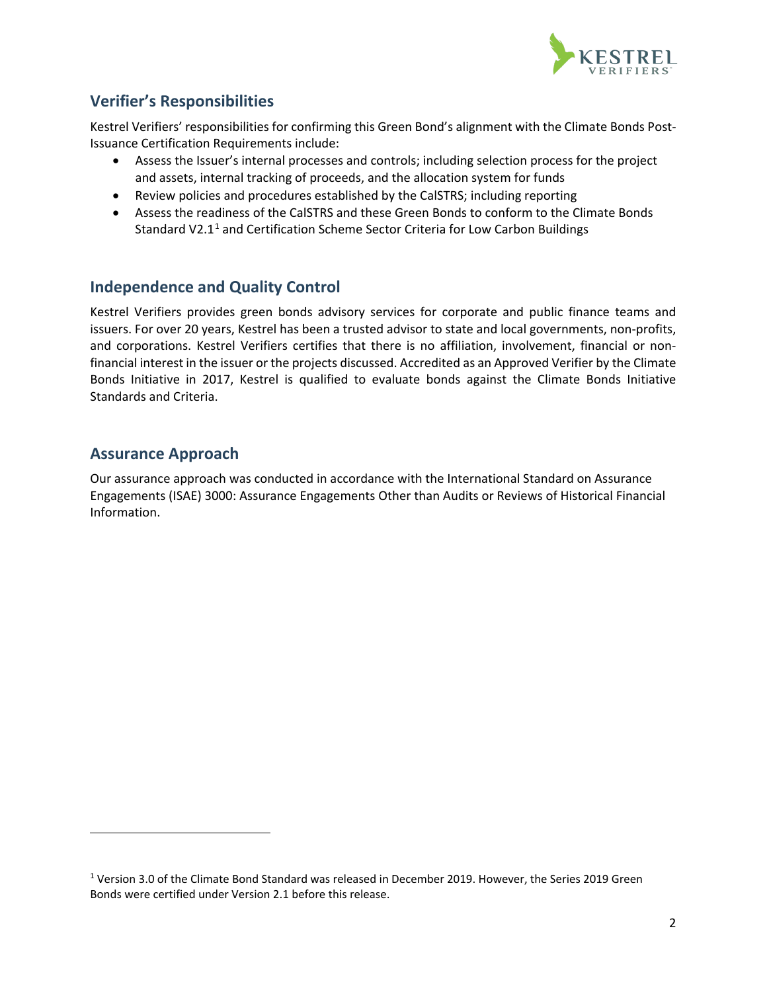

# **Verifier's Responsibilities**

Kestrel Verifiers' responsibilities for confirming this Green Bond's alignment with the Climate Bonds Post-Issuance Certification Requirements include:

- Assess the Issuer's internal processes and controls; including selection process for the project and assets, internal tracking of proceeds, and the allocation system for funds
- Review policies and procedures established by the CalSTRS; including reporting
- Assess the readiness of the CalSTRS and these Green Bonds to conform to the Climate Bonds Standard V2.[1](#page-1-0)<sup>1</sup> and Certification Scheme Sector Criteria for Low Carbon Buildings

## **Independence and Quality Control**

Kestrel Verifiers provides green bonds advisory services for corporate and public finance teams and issuers. For over 20 years, Kestrel has been a trusted advisor to state and local governments, non-profits, and corporations. Kestrel Verifiers certifies that there is no affiliation, involvement, financial or nonfinancial interest in the issuer or the projects discussed. Accredited as an Approved Verifier by the Climate Bonds Initiative in 2017, Kestrel is qualified to evaluate bonds against the Climate Bonds Initiative Standards and Criteria.

### **Assurance Approach**

Our assurance approach was conducted in accordance with the International Standard on Assurance Engagements (ISAE) 3000: Assurance Engagements Other than Audits or Reviews of Historical Financial Information.

<span id="page-1-0"></span><sup>1</sup> Version 3.0 of the Climate Bond Standard was released in December 2019. However, the Series 2019 Green Bonds were certified under Version 2.1 before this release.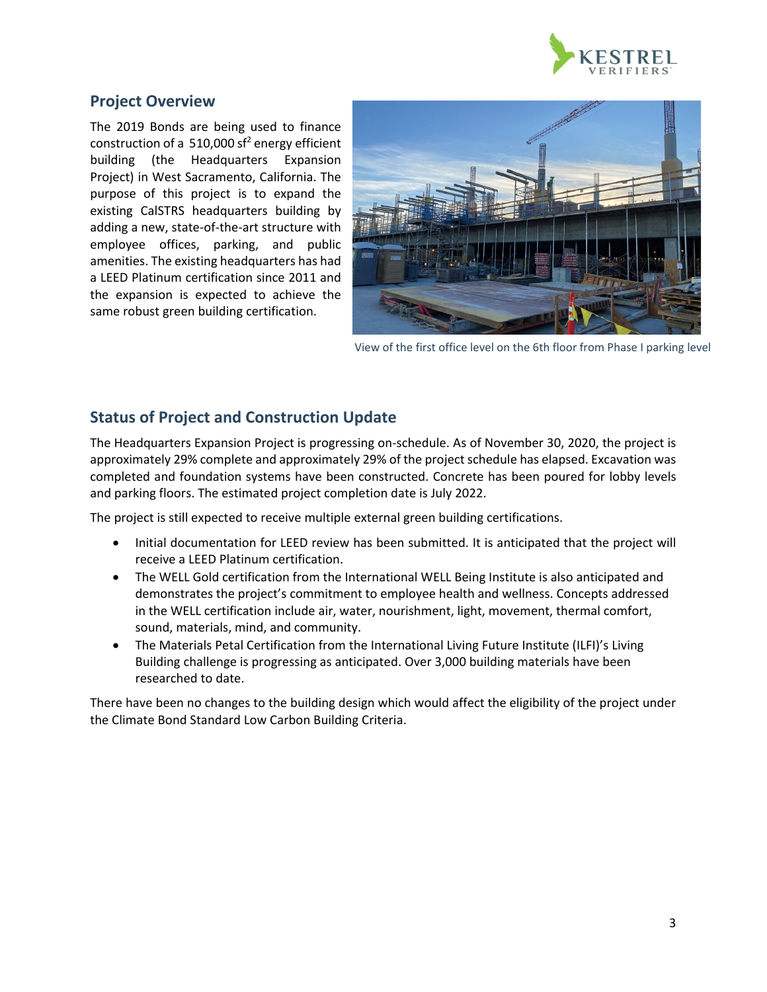

### **Project Overview**

The 2019 Bonds are being used to finance construction of a 510,000 sf<sup>2</sup> energy efficient building (the Headquarters Expansion Project) in West Sacramento, California. The purpose of this project is to expand the existing CalSTRS headquarters building by adding a new, state-of-the-art structure with employee offices, parking, and public amenities. The existing headquarters has had a LEED Platinum certification since 2011 and the expansion is expected to achieve the same robust green building certification.



View of the first office level on the 6th floor from Phase I parking level

## **Status of Project and Construction Update**

The Headquarters Expansion Project is progressing on-schedule. As of November 30, 2020, the project is approximately 29% complete and approximately 29% of the project schedule has elapsed. Excavation was completed and foundation systems have been constructed. Concrete has been poured for lobby levels and parking floors. The estimated project completion date is July 2022.

The project is still expected to receive multiple external green building certifications.

- Initial documentation for LEED review has been submitted. It is anticipated that the project will receive a LEED Platinum certification.
- The WELL Gold certification from the International WELL Being Institute is also anticipated and demonstrates the project's commitment to employee health and wellness. Concepts addressed in the WELL certification include air, water, nourishment, light, movement, thermal comfort, sound, materials, mind, and community.
- The Materials Petal Certification from the International Living Future Institute (ILFI)'s Living Building challenge is progressing as anticipated. Over 3,000 building materials have been researched to date.

There have been no changes to the building design which would affect the eligibility of the project under the Climate Bond Standard Low Carbon Building Criteria.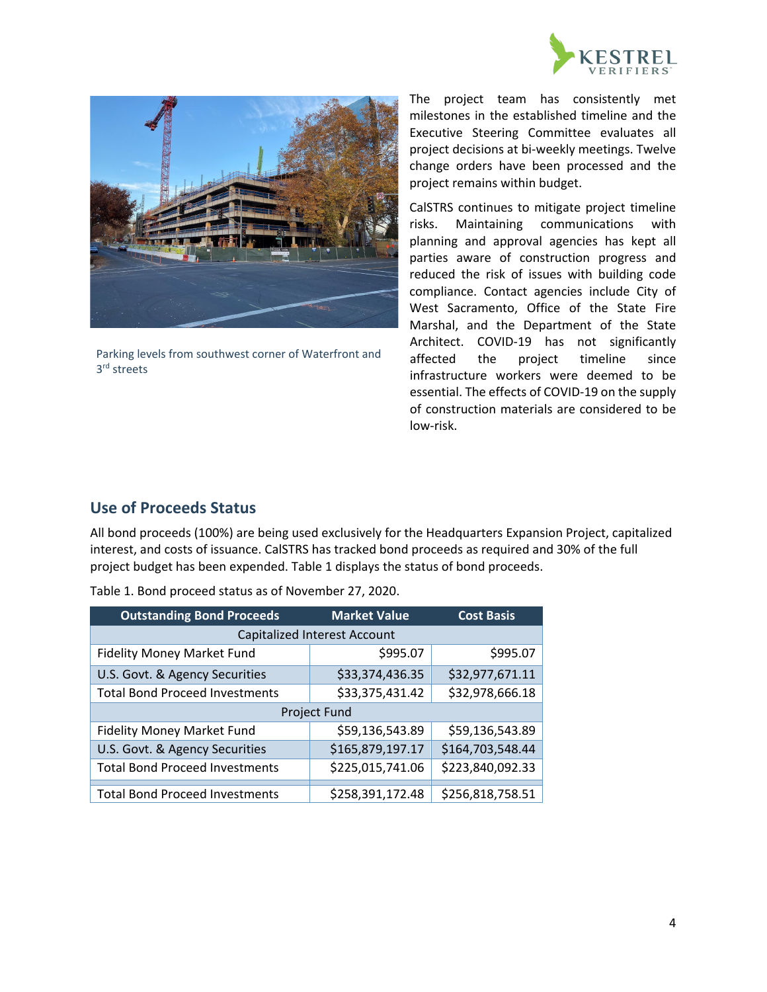



Parking levels from southwest corner of Waterfront and 3rd streets

The project team has consistently met milestones in the established timeline and the Executive Steering Committee evaluates all project decisions at bi-weekly meetings. Twelve change orders have been processed and the project remains within budget.

CalSTRS continues to mitigate project timeline risks. Maintaining communications with planning and approval agencies has kept all parties aware of construction progress and reduced the risk of issues with building code compliance. Contact agencies include City of West Sacramento, Office of the State Fire Marshal, and the Department of the State Architect. COVID-19 has not significantly affected the project timeline since infrastructure workers were deemed to be essential. The effects of COVID-19 on the supply of construction materials are considered to be low-risk.

### **Use of Proceeds Status**

All bond proceeds (100%) are being used exclusively for the Headquarters Expansion Project, capitalized interest, and costs of issuance. CalSTRS has tracked bond proceeds as required and 30% of the full project budget has been expended. Table 1 displays the status of bond proceeds.

| <b>Outstanding Bond Proceeds</b>      | <b>Market Value</b> | <b>Cost Basis</b> |  |
|---------------------------------------|---------------------|-------------------|--|
| Capitalized Interest Account          |                     |                   |  |
| <b>Fidelity Money Market Fund</b>     | \$995.07            | \$995.07          |  |
| U.S. Govt. & Agency Securities        | \$33,374,436.35     | \$32,977,671.11   |  |
| <b>Total Bond Proceed Investments</b> | \$33,375,431.42     | \$32,978,666.18   |  |
| Project Fund                          |                     |                   |  |
| <b>Fidelity Money Market Fund</b>     | \$59,136,543.89     | \$59,136,543.89   |  |
| U.S. Govt. & Agency Securities        | \$165,879,197.17    | \$164,703,548.44  |  |
| <b>Total Bond Proceed Investments</b> | \$225,015,741.06    | \$223,840,092.33  |  |
| <b>Total Bond Proceed Investments</b> | \$258,391,172.48    | \$256,818,758.51  |  |

Table 1. Bond proceed status as of November 27, 2020.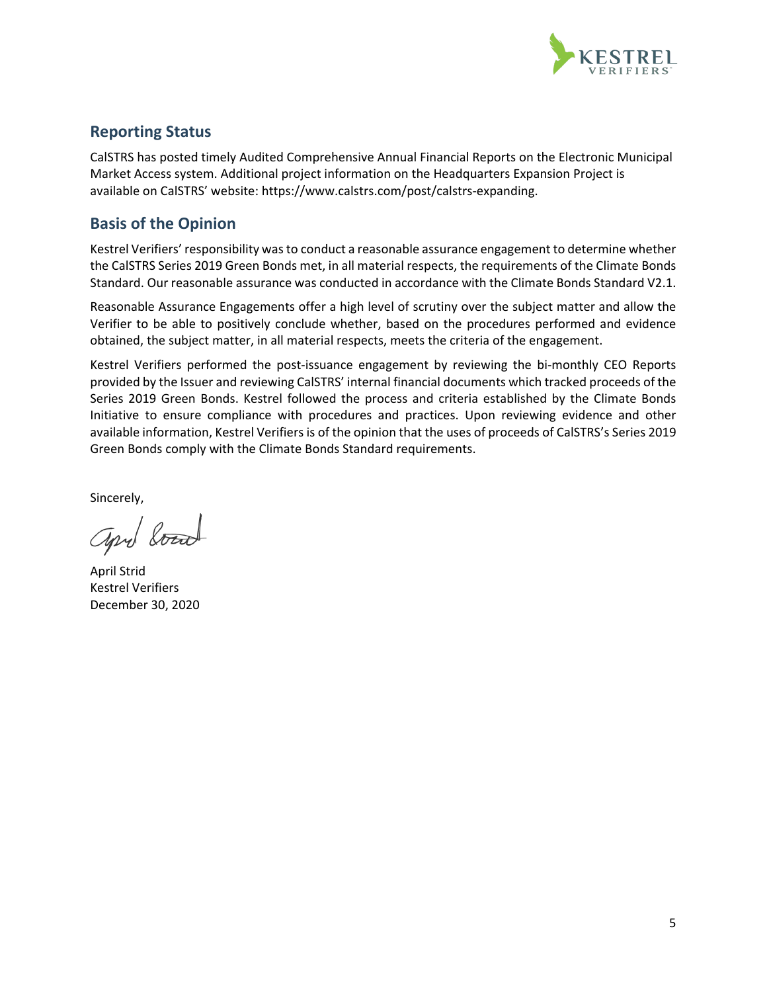

### **Reporting Status**

CalSTRS has posted timely Audited Comprehensive Annual Financial Reports on the Electronic Municipal Market Access system. Additional project information on the Headquarters Expansion Project is available on CalSTRS' website: https://www.calstrs.com/post/calstrs-expanding.

## **Basis of the Opinion**

Kestrel Verifiers' responsibility was to conduct a reasonable assurance engagement to determine whether the CalSTRS Series 2019 Green Bonds met, in all material respects, the requirements of the Climate Bonds Standard. Our reasonable assurance was conducted in accordance with the Climate Bonds Standard V2.1.

Reasonable Assurance Engagements offer a high level of scrutiny over the subject matter and allow the Verifier to be able to positively conclude whether, based on the procedures performed and evidence obtained, the subject matter, in all material respects, meets the criteria of the engagement.

Kestrel Verifiers performed the post-issuance engagement by reviewing the bi-monthly CEO Reports provided by the Issuer and reviewing CalSTRS' internal financial documents which tracked proceeds of the Series 2019 Green Bonds. Kestrel followed the process and criteria established by the Climate Bonds Initiative to ensure compliance with procedures and practices. Upon reviewing evidence and other available information, Kestrel Verifiers is of the opinion that the uses of proceeds of CalSTRS's Series 2019 Green Bonds comply with the Climate Bonds Standard requirements.

Sincerely,

april board

April Strid Kestrel Verifiers December 30, 2020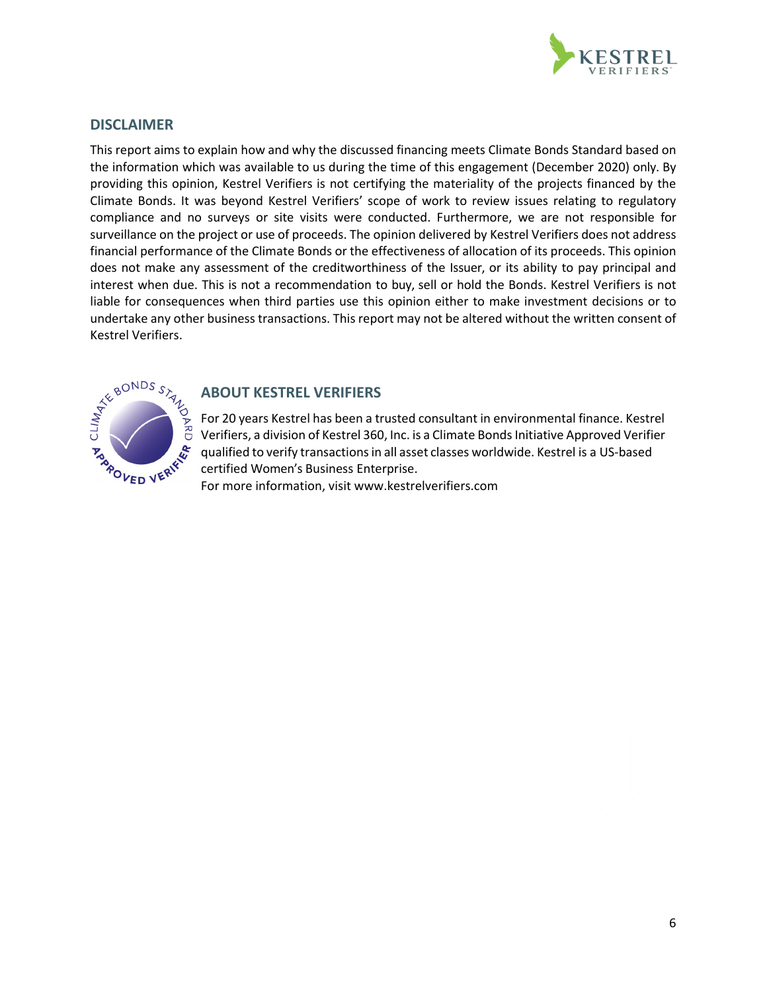

#### **DISCLAIMER**

This report aims to explain how and why the discussed financing meets Climate Bonds Standard based on the information which was available to us during the time of this engagement (December 2020) only. By providing this opinion, Kestrel Verifiers is not certifying the materiality of the projects financed by the Climate Bonds. It was beyond Kestrel Verifiers' scope of work to review issues relating to regulatory compliance and no surveys or site visits were conducted. Furthermore, we are not responsible for surveillance on the project or use of proceeds. The opinion delivered by Kestrel Verifiers does not address financial performance of the Climate Bonds or the effectiveness of allocation of its proceeds. This opinion does not make any assessment of the creditworthiness of the Issuer, or its ability to pay principal and interest when due. This is not a recommendation to buy, sell or hold the Bonds. Kestrel Verifiers is not liable for consequences when third parties use this opinion either to make investment decisions or to undertake any other business transactions. This report may not be altered without the written consent of Kestrel Verifiers.



#### **ABOUT KESTREL VERIFIERS**

For 20 years Kestrel has been a trusted consultant in environmental finance. Kestrel Verifiers, a division of Kestrel 360, Inc. is a Climate Bonds Initiative Approved Verifier qualified to verify transactions in all asset classes worldwide. Kestrel is a US-based certified Women's Business Enterprise.

For more information, [visit www.kestrelverifiers.com](http://www.kestrelverifiers.com/)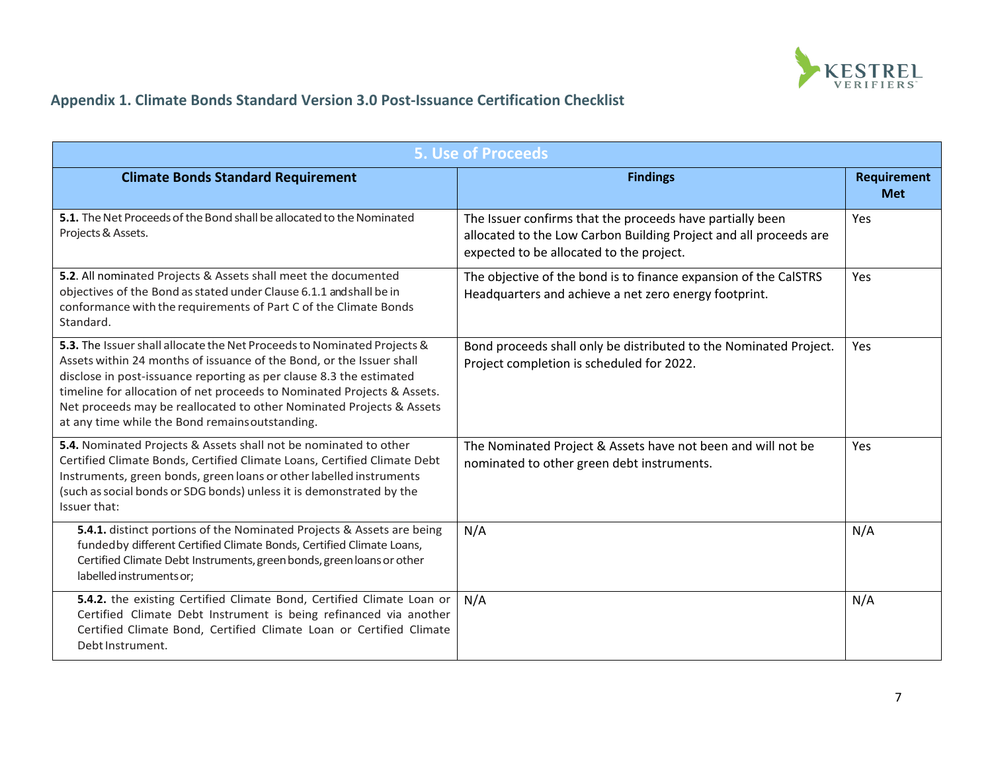

# **Appendix 1. Climate Bonds Standard Version 3.0 Post-Issuance Certification Checklist**

| <b>5. Use of Proceeds</b>                                                                                                                                                                                                                                                                                                                                                                                                   |                                                                                                                                                                            |                           |
|-----------------------------------------------------------------------------------------------------------------------------------------------------------------------------------------------------------------------------------------------------------------------------------------------------------------------------------------------------------------------------------------------------------------------------|----------------------------------------------------------------------------------------------------------------------------------------------------------------------------|---------------------------|
| <b>Climate Bonds Standard Requirement</b>                                                                                                                                                                                                                                                                                                                                                                                   | <b>Findings</b>                                                                                                                                                            | Requirement<br><b>Met</b> |
| 5.1. The Net Proceeds of the Bond shall be allocated to the Nominated<br>Projects & Assets.                                                                                                                                                                                                                                                                                                                                 | The Issuer confirms that the proceeds have partially been<br>allocated to the Low Carbon Building Project and all proceeds are<br>expected to be allocated to the project. | Yes                       |
| 5.2. All nominated Projects & Assets shall meet the documented<br>objectives of the Bond as stated under Clause 6.1.1 and shall be in<br>conformance with the requirements of Part C of the Climate Bonds<br>Standard.                                                                                                                                                                                                      | The objective of the bond is to finance expansion of the CalSTRS<br>Headquarters and achieve a net zero energy footprint.                                                  | Yes                       |
| 5.3. The Issuer shall allocate the Net Proceeds to Nominated Projects &<br>Assets within 24 months of issuance of the Bond, or the Issuer shall<br>disclose in post-issuance reporting as per clause 8.3 the estimated<br>timeline for allocation of net proceeds to Nominated Projects & Assets.<br>Net proceeds may be reallocated to other Nominated Projects & Assets<br>at any time while the Bond remainsoutstanding. | Bond proceeds shall only be distributed to the Nominated Project.<br>Project completion is scheduled for 2022.                                                             | Yes                       |
| 5.4. Nominated Projects & Assets shall not be nominated to other<br>Certified Climate Bonds, Certified Climate Loans, Certified Climate Debt<br>Instruments, green bonds, green loans or other labelled instruments<br>(such as social bonds or SDG bonds) unless it is demonstrated by the<br>Issuer that:                                                                                                                 | The Nominated Project & Assets have not been and will not be<br>nominated to other green debt instruments.                                                                 | Yes                       |
| 5.4.1. distinct portions of the Nominated Projects & Assets are being<br>fundedby different Certified Climate Bonds, Certified Climate Loans,<br>Certified Climate Debt Instruments, green bonds, green loans or other<br>labelled instruments or;                                                                                                                                                                          | N/A                                                                                                                                                                        | N/A                       |
| 5.4.2. the existing Certified Climate Bond, Certified Climate Loan or<br>Certified Climate Debt Instrument is being refinanced via another<br>Certified Climate Bond, Certified Climate Loan or Certified Climate<br>Debt Instrument.                                                                                                                                                                                       | N/A                                                                                                                                                                        | N/A                       |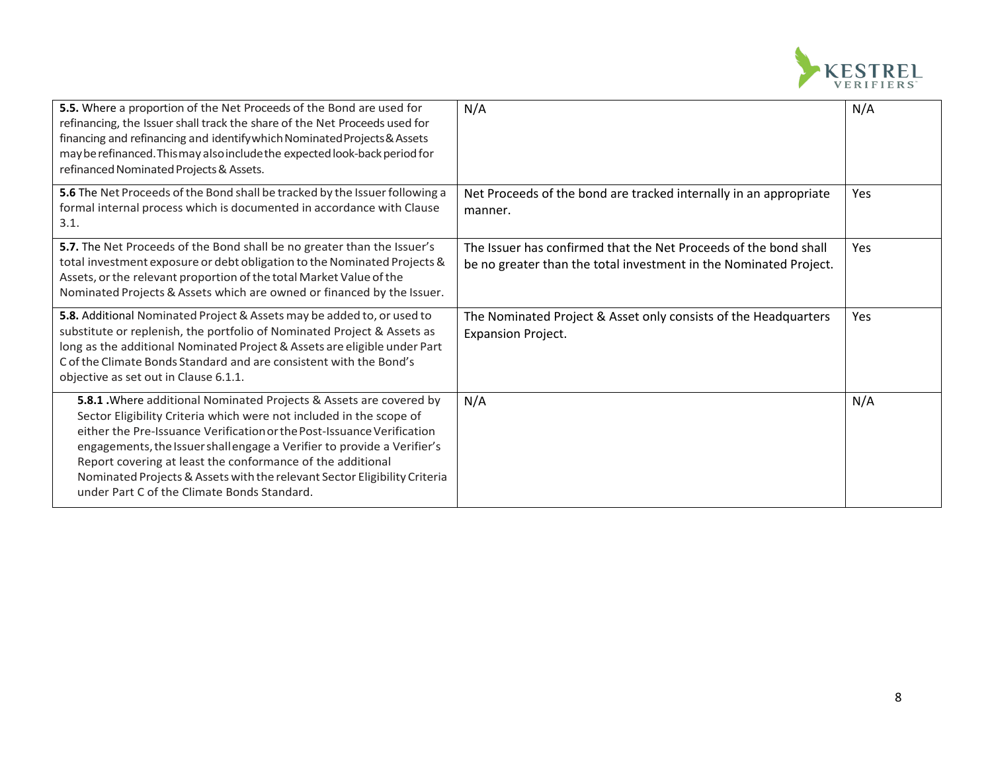

| 5.5. Where a proportion of the Net Proceeds of the Bond are used for<br>refinancing, the Issuer shall track the share of the Net Proceeds used for<br>financing and refinancing and identify which Nominated Projects & Assets<br>may be refinanced. This may also include the expected look-back period for<br>refinanced Nominated Projects & Assets.                                                                                                                                   | N/A                                                                                                                                   | N/A        |
|-------------------------------------------------------------------------------------------------------------------------------------------------------------------------------------------------------------------------------------------------------------------------------------------------------------------------------------------------------------------------------------------------------------------------------------------------------------------------------------------|---------------------------------------------------------------------------------------------------------------------------------------|------------|
| 5.6 The Net Proceeds of the Bond shall be tracked by the Issuer following a<br>formal internal process which is documented in accordance with Clause<br>3.1.                                                                                                                                                                                                                                                                                                                              | Net Proceeds of the bond are tracked internally in an appropriate<br>manner.                                                          | Yes        |
| 5.7. The Net Proceeds of the Bond shall be no greater than the Issuer's<br>total investment exposure or debt obligation to the Nominated Projects &<br>Assets, or the relevant proportion of the total Market Value of the<br>Nominated Projects & Assets which are owned or financed by the Issuer.                                                                                                                                                                                      | The Issuer has confirmed that the Net Proceeds of the bond shall<br>be no greater than the total investment in the Nominated Project. | <b>Yes</b> |
| 5.8. Additional Nominated Project & Assets may be added to, or used to<br>substitute or replenish, the portfolio of Nominated Project & Assets as<br>long as the additional Nominated Project & Assets are eligible under Part<br>C of the Climate Bonds Standard and are consistent with the Bond's<br>objective as set out in Clause 6.1.1.                                                                                                                                             | The Nominated Project & Asset only consists of the Headquarters<br>Expansion Project.                                                 | Yes        |
| 5.8.1 . Where additional Nominated Projects & Assets are covered by<br>Sector Eligibility Criteria which were not included in the scope of<br>either the Pre-Issuance Verification or the Post-Issuance Verification<br>engagements, the Issuer shall engage a Verifier to provide a Verifier's<br>Report covering at least the conformance of the additional<br>Nominated Projects & Assets with the relevant Sector Eligibility Criteria<br>under Part C of the Climate Bonds Standard. | N/A                                                                                                                                   | N/A        |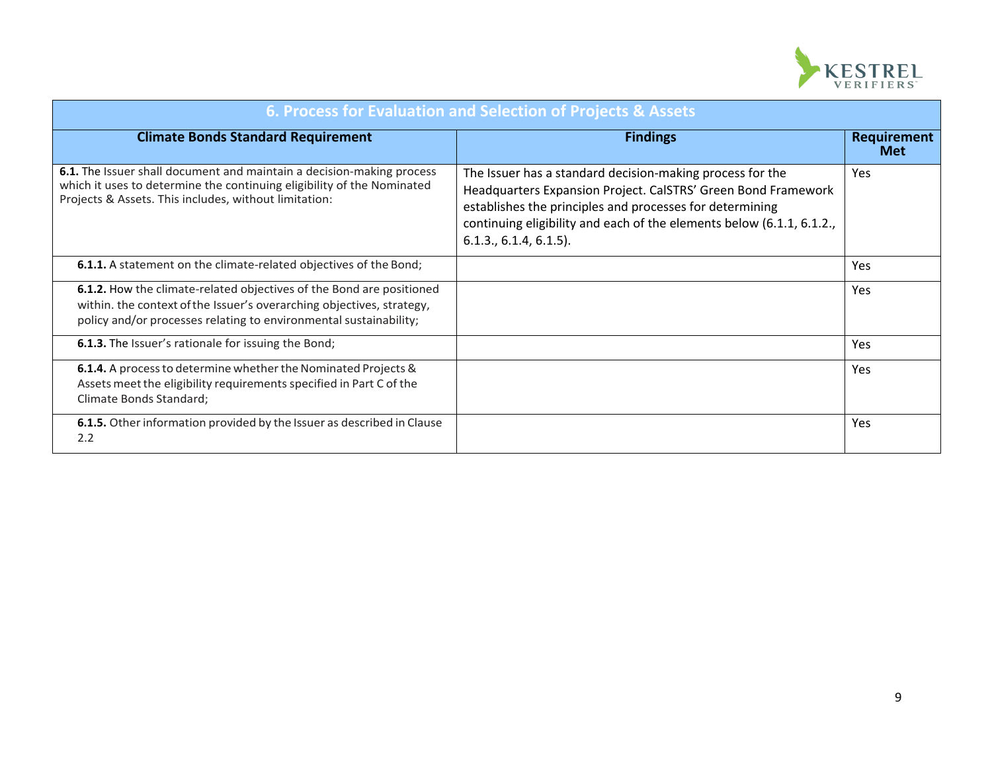

| 6. Process for Evaluation and Selection of Projects & Assets                                                                                                                                                       |                                                                                                                                                                                                                                                                                              |                                  |  |
|--------------------------------------------------------------------------------------------------------------------------------------------------------------------------------------------------------------------|----------------------------------------------------------------------------------------------------------------------------------------------------------------------------------------------------------------------------------------------------------------------------------------------|----------------------------------|--|
| <b>Climate Bonds Standard Requirement</b>                                                                                                                                                                          | <b>Findings</b>                                                                                                                                                                                                                                                                              | <b>Requirement</b><br><b>Met</b> |  |
| 6.1. The Issuer shall document and maintain a decision-making process<br>which it uses to determine the continuing eligibility of the Nominated<br>Projects & Assets. This includes, without limitation:           | The Issuer has a standard decision-making process for the<br>Headquarters Expansion Project. CalSTRS' Green Bond Framework<br>establishes the principles and processes for determining<br>continuing eligibility and each of the elements below (6.1.1, 6.1.2.,<br>$6.1.3., 6.1.4, 6.1.5$ ). | Yes                              |  |
| 6.1.1. A statement on the climate-related objectives of the Bond;                                                                                                                                                  |                                                                                                                                                                                                                                                                                              | Yes                              |  |
| 6.1.2. How the climate-related objectives of the Bond are positioned<br>within. the context of the Issuer's overarching objectives, strategy,<br>policy and/or processes relating to environmental sustainability; |                                                                                                                                                                                                                                                                                              | Yes                              |  |
| <b>6.1.3.</b> The Issuer's rationale for issuing the Bond;                                                                                                                                                         |                                                                                                                                                                                                                                                                                              | Yes                              |  |
| 6.1.4. A process to determine whether the Nominated Projects &<br>Assets meet the eligibility requirements specified in Part C of the<br>Climate Bonds Standard;                                                   |                                                                                                                                                                                                                                                                                              | Yes                              |  |
| 6.1.5. Other information provided by the Issuer as described in Clause<br>2.2                                                                                                                                      |                                                                                                                                                                                                                                                                                              | Yes                              |  |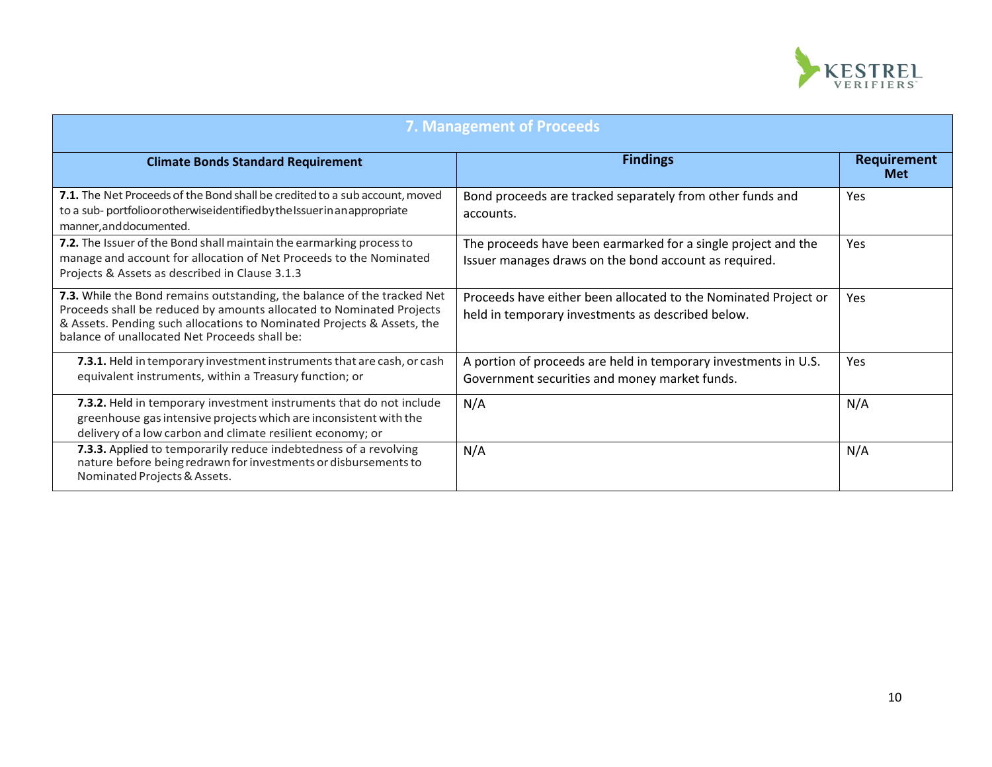

| <b>7. Management of Proceeds</b>                                                                                                                                                                                                                                           |                                                                                                                        |                                  |
|----------------------------------------------------------------------------------------------------------------------------------------------------------------------------------------------------------------------------------------------------------------------------|------------------------------------------------------------------------------------------------------------------------|----------------------------------|
| <b>Climate Bonds Standard Requirement</b>                                                                                                                                                                                                                                  | <b>Findings</b>                                                                                                        | <b>Requirement</b><br><b>Met</b> |
| 7.1. The Net Proceeds of the Bond shall be credited to a sub account, moved<br>to a sub-portfolioor otherwise identified by the Issuer in an appropriate<br>manner, and documented.                                                                                        | Bond proceeds are tracked separately from other funds and<br>accounts.                                                 | Yes                              |
| 7.2. The Issuer of the Bond shall maintain the earmarking process to<br>manage and account for allocation of Net Proceeds to the Nominated<br>Projects & Assets as described in Clause 3.1.3                                                                               | The proceeds have been earmarked for a single project and the<br>Issuer manages draws on the bond account as required. | Yes                              |
| 7.3. While the Bond remains outstanding, the balance of the tracked Net<br>Proceeds shall be reduced by amounts allocated to Nominated Projects<br>& Assets. Pending such allocations to Nominated Projects & Assets, the<br>balance of unallocated Net Proceeds shall be: | Proceeds have either been allocated to the Nominated Project or<br>held in temporary investments as described below.   | Yes                              |
| 7.3.1. Held in temporary investment instruments that are cash, or cash<br>equivalent instruments, within a Treasury function; or                                                                                                                                           | A portion of proceeds are held in temporary investments in U.S.<br>Government securities and money market funds.       | Yes                              |
| 7.3.2. Held in temporary investment instruments that do not include<br>greenhouse gas intensive projects which are inconsistent with the<br>delivery of a low carbon and climate resilient economy; or                                                                     | N/A                                                                                                                    | N/A                              |
| 7.3.3. Applied to temporarily reduce indebtedness of a revolving<br>nature before being redrawn for investments or disbursements to<br>Nominated Projects & Assets.                                                                                                        | N/A                                                                                                                    | N/A                              |